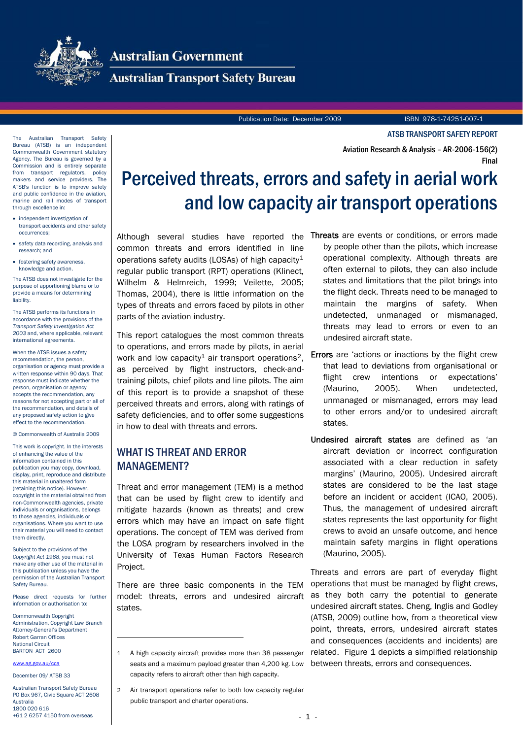

# **Australian Government**

**Australian Transport Safety Bureau** 

Publication Date: December 2009 ISBN 978-1-74251-007-1

ATSB TRANSPORT SAFETY REPORT

Final

Aviation Research & Analysis – AR-2006-156(2)

The Australian Transport Safety Bureau (ATSB) is an independent Commonwealth Government statutory Agency. The Bureau is governed by a Commission and is entirely separate from transport regulators, policy makers and service providers. The ATSB's function is to improve safety and public confidence in the aviation marine and rail modes of transport through excellence in:

- independent investigation of transport accidents and other safety occurrences;
- safety data recording, analysis and research; and
- <span id="page-0-2"></span>• fostering safety awareness, knowledge and action.

The ATSB does not investigate for the purpose of apportioning blame or to provide a means for determining liability.

The ATSB performs its functions in accordance with the provisions of the *Transport Safety Investigation Act 2003* and, where applicable, relevant international agreements.

When the ATSB issues a safety recommendation, the person, organisation or agency must provide a written response within 90 days. That response must indicate whether the person, organisation or agency accepts the recommendation, any reasons for not accepting part or all of the recommendation, and details of any proposed safety action to give effect to the recommendation.

© Commonwealth of Australia 2009

This work is copyright. In the interests of enhancing the value of the information contained in this publication you may copy, download, display, print, reproduce and distribute this material in unaltered form (retaining this notice). However, copyright in the material obtained from non-Commonwealth agencies, private individuals or organisations, belongs to those agencies, individuals or organisations. Where you want to use their material you will need to contact them directly.

Subject to the provisions of the *Copyright Act 1968*, you must not make any other use of the material in this publication unless you have the permission of the Australian Transport Safety Bureau.

Please direct requests for further information or authorisation to:

Commonwealth Copyright Administration, Copyright Law Branch Attorney-General's Department Robert Garran Offices National Circuit BARTON ACT 2600

 $\overline{a}$ 

#### <span id="page-0-0"></span>[www.ag.gov.au/cca](http://www.ag.gov.au/cca)

December 09/ ATSB 33

<span id="page-0-1"></span>Australian Transport Safety Bureau PO Box 967, Civic Square ACT 2608 Australia 1800 020 616 +61 2 6257 4150 from overseas

# Perceived threats, errors and safety in aerial work and low capacity air transport operations

Although several studies have reported the common threats and errors identified in line operations safety audits (LOSAs) of high capacity<sup>[1](#page-0-0)</sup> regular public transport (RPT) operations (Klinect, Wilhelm & Helmreich, 1999; Veilette, 2005; Thomas, 2004), there is little information on the types of threats and errors faced by pilots in other parts of the aviation industry.

This report catalogues the most common threats to operations, and errors made by pilots, in aerial work and low capacity<sup>1</sup> air transport operations<sup>[2](#page-0-1)</sup>, as perceived by flight instructors, check-andtraining pilots, chief pilots and line pilots. The aim of this report is to provide a snapshot of these perceived threats and errors, along with ratings of safety deficiencies, and to offer some suggestions in how to deal with threats and errors.

## WHAT IS THREAT AND ERROR MANAGEMENT?

Threat and error management (TEM) is a method that can be used by flight crew to identify and mitigate hazards (known as threats) and crew errors which may have an impact on safe flight operations. The concept of TEM was derived from the LOSA program by researchers involved in the University of Texas Human Factors Research Project.

There are three basic components in the TEM model: threats, errors and undesired aircraft states.

- Threats are events or conditions, or errors made by people other than the pilots, which increase operational complexity. Although threats are often external to pilots, they can also include states and limitations that the pilot brings into the flight deck. Threats need to be managed to maintain the margins of safety. When undetected, unmanaged or mismanaged, threats may lead to errors or even to an undesired aircraft state.
- Errors are 'actions or inactions by the flight crew that lead to deviations from organisational or flight crew intentions or expectations' (Maurino, 2005). When undetected, unmanaged or mismanaged, errors may lead to other errors and/or to undesired aircraft states.
- Undesired aircraft states are defined as 'an aircraft deviation or incorrect configuration associated with a clear reduction in safety margins' (Maurino, 2005). Undesired aircraft states are considered to be the last stage before an incident or accident (ICAO, 2005). Thus, the management of undesired aircraft states represents the last opportunity for flight crews to avoid an unsafe outcome, and hence maintain safety margins in flight operations (Maurino, 2005).

Threats and errors are part of everyday flight operations that must be managed by flight crews, as they both carry the potential to generate undesired aircraft states. Cheng, Inglis and Godley (ATSB, 2009) outline how, from a theoretical view point, threats, errors, undesired aircraft states and consequences (accidents and incidents) are related. [Figure 1](#page-1-0) depicts a simplified relationship between threats, errors and consequences.

<sup>1</sup> A high capacity aircraft provides more than 38 passenger seats and a maximum payload greater than 4,200 kg. Low capacity refers to aircraft other than high capacity.

<sup>2</sup> Air transport operations refer to both low capacity regular public transport and charter operations.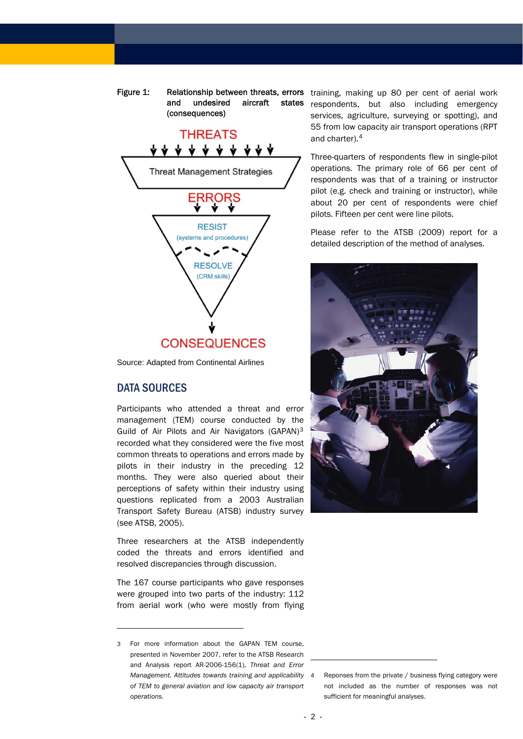Figure 1: Relationship between threats, errors training, making up 80 per cent of aerial work and undesired aircraft states (consequences)

<span id="page-1-0"></span>

Source: Adapted from Continental Airlines

## DATA SOURCES

 $\overline{a}$ 

Participants who attended a threat and error management (TEM) course conducted by the Guild of Air Pilots and Air Navigators (GAPAN)[3](#page-1-1) recorded what they considered were the five most common threats to operations and errors made by pilots in their industry in the preceding 12 months. They were also queried about their perceptions of safety within their industry using questions replicated from a 2003 Australian Transport Safety Bureau (ATSB) industry survey (see ATSB, 2005).

Three researchers at the ATSB independently coded the threats and errors identified and resolved discrepancies through discussion.

The 167 course participants who gave responses were grouped into two parts of the industry: 112 from aerial work (who were mostly from flying

respondents, but also including emergency services, agriculture, surveying or spotting), and 55 from low capacity air transport operations (RPT and charter).[4](#page-1-2)

Three-quarters of respondents flew in single-pilot operations. The primary role of 66 per cent of respondents was that of a training or instructor pilot (e.g. check and training or instructor), while about 20 per cent of respondents were chief pilots. Fifteen per cent were line pilots.

Please refer to the ATSB (2009) report for a detailed description of the method of analyses.



-

<span id="page-1-2"></span><span id="page-1-1"></span><sup>3</sup> For more information about the GAPAN TEM course, presented in November 2007, refer to the ATSB Research and Analysis report AR-2006-156(1), *Threat and Error Management. Attitudes towards training and applicability of TEM to general aviation and low capacity air transport operations.*

Reponses from the private / business flying category were not included as the number of responses was not sufficient for meaningful analyses.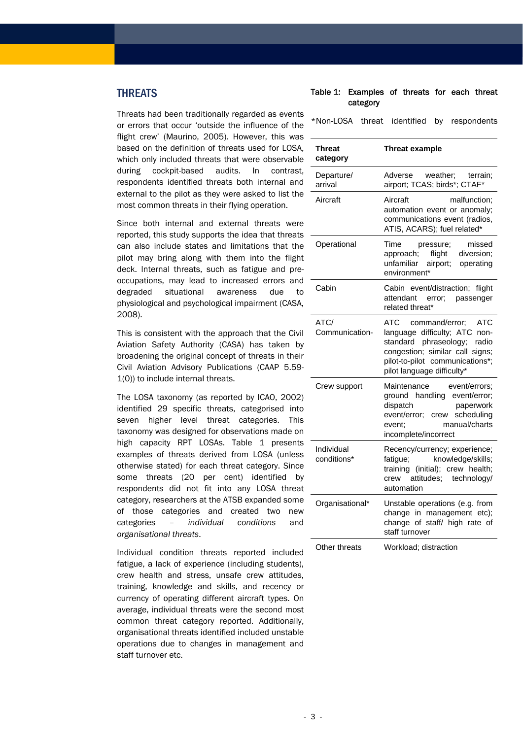# <span id="page-2-0"></span>THREATS

Threats had been traditionally regarded as events or errors that occur 'outside the influence of the flight crew' (Maurino, 2005). However, this was based on the definition of threats used for LOSA, which only included threats that were observable during cockpit-based audits. In contrast, respondents identified threats both internal and external to the pilot as they were asked to list the most common threats in their flying operation.

Since both internal and external threats were reported, this study supports the idea that threats can also include states and limitations that the pilot may bring along with them into the flight deck. Internal threats, such as fatigue and preoccupations, may lead to increased errors and degraded situational awareness due to physiological and psychological impairment (CASA, 2008).

This is consistent with the approach that the Civil Aviation Safety Authority (CASA) has taken by broadening the original concept of threats in their Civil Aviation Advisory Publications (CAAP 5.59- 1(0)) to include internal threats.

The LOSA taxonomy (as reported by ICAO, 2002) identified 29 specific threats, categorised into seven higher level threat categories. This taxonomy was designed for observations made on high capacity RPT LOSAs. [Table 1](#page-2-0) presents examples of threats derived from LOSA (unless otherwise stated) for each threat category. Since some threats (20 per cent) identified by respondents did not fit into any LOSA threat category, researchers at the ATSB expanded some of those categories and created two new categories – *individual conditions* and *organisational threats*.

Individual condition threats reported included fatigue, a lack of experience (including students), crew health and stress, unsafe crew attitudes, training, knowledge and skills, and recency or currency of operating different aircraft types. On average, individual threats were the second most common threat category reported. Additionally, organisational threats identified included unstable operations due to changes in management and staff turnover etc.

#### Table 1: Examples of threats for each threat category

\*Non-LOSA threat identified by respondents

| Threat<br>category        | <b>Threat example</b>                                                                                                                                                                                         |
|---------------------------|---------------------------------------------------------------------------------------------------------------------------------------------------------------------------------------------------------------|
| Departure/<br>arrival     | Adverse<br>weather:<br>terrain;<br>airport; TCAS; birds*; CTAF*                                                                                                                                               |
| Aircraft                  | Aircraft<br>malfunction;<br>automation event or anomaly;<br>communications event (radios,<br>ATIS, ACARS); fuel related*                                                                                      |
| Operational               | Time<br>pressure;<br>missed<br>approach; flight diversion;<br>unfamiliar<br>airport; operating<br>environment*                                                                                                |
| Cabin                     | Cabin event/distraction; flight<br>attendant error;<br>passenger<br>related threat*                                                                                                                           |
| ATC/<br>Communication-    | ATC<br>command/error:<br><b>ATC</b><br>language difficulty; ATC<br>non-<br>standard phraseology;<br>radio<br>congestion; similar call signs;<br>pilot-to-pilot communications*;<br>pilot language difficulty* |
| Crew support              | Maintenance<br>event/errors:<br>ground handling event/error;<br>dispatch<br>paperwork<br>event/error; crew scheduling<br>manual/charts<br>event:<br>incomplete/incorrect                                      |
| Individual<br>conditions* | Recency/currency; experience;<br>knowledge/skills;<br>fatigue;<br>(initial); crew health;<br>training<br>attitudes; technology/<br>crew<br>automation                                                         |
| Organisational*           | Unstable operations (e.g. from<br>change in management etc);<br>change of staff/ high rate of<br>staff turnover                                                                                               |
| Other threats             | Workload; distraction                                                                                                                                                                                         |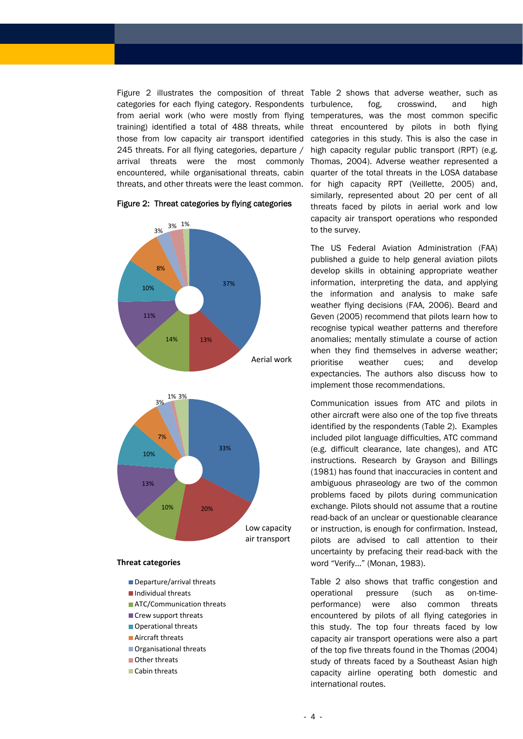categories for each flying category. Respondents from aerial work (who were mostly from flying training) identified a total of 488 threats, while those from low capacity air transport identified 245 threats. For all flying categories, departure / arrival threats were the most commonly encountered, while organisational threats, cabin threats, and other threats were the least common.

<span id="page-3-0"></span>





#### **Threat categories**

- Departure/arrival threats
- Individual threats
- **ATC/Communication threats**
- Crew support threats
- Operational threats
- Aircraft threats
- Organisational threats
- Other threats
- Cabin threats

[Figure 2](#page-3-0) illustrates the composition of threat [Table 2](#page-4-0) shows that adverse weather, such as turbulence, fog, crosswind, and high temperatures, was the most common specific threat encountered by pilots in both flying categories in this study. This is also the case in high capacity regular public transport (RPT) (e.g. Thomas, 2004). Adverse weather represented a quarter of the total threats in the LOSA database for high capacity RPT (Veillette, 2005) and, similarly, represented about 20 per cent of all threats faced by pilots in aerial work and low capacity air transport operations who responded to the survey.

> The US Federal Aviation Administration (FAA) published a guide to help general aviation pilots develop skills in obtaining appropriate weather information, interpreting the data, and applying the information and analysis to make safe weather flying decisions (FAA, 2006). Beard and Geven (2005) recommend that pilots learn how to recognise typical weather patterns and therefore anomalies; mentally stimulate a course of action when they find themselves in adverse weather; prioritise weather cues; and develop expectancies. The authors also discuss how to implement those recommendations.

> Communication issues from ATC and pilots in other aircraft were also one of the top five threats identified by the respondents [\(Table 2\)](#page-4-0). Examples included pilot language difficulties, ATC command (e.g. difficult clearance, late changes), and ATC instructions. Research by Grayson and Billings (1981) has found that inaccuracies in content and ambiguous phraseology are two of the common problems faced by pilots during communication exchange. Pilots should not assume that a routine read-back of an unclear or questionable clearance or instruction, is enough for confirmation. Instead, pilots are advised to call attention to their uncertainty by prefacing their read-back with the word "Verify..." (Monan, 1983).

> [Table 2](#page-4-0) also shows that traffic congestion and operational pressure (such as on-timeperformance) were also common threats encountered by pilots of all flying categories in this study. The top four threats faced by low capacity air transport operations were also a part of the top five threats found in the Thomas (2004) study of threats faced by a Southeast Asian high capacity airline operating both domestic and international routes.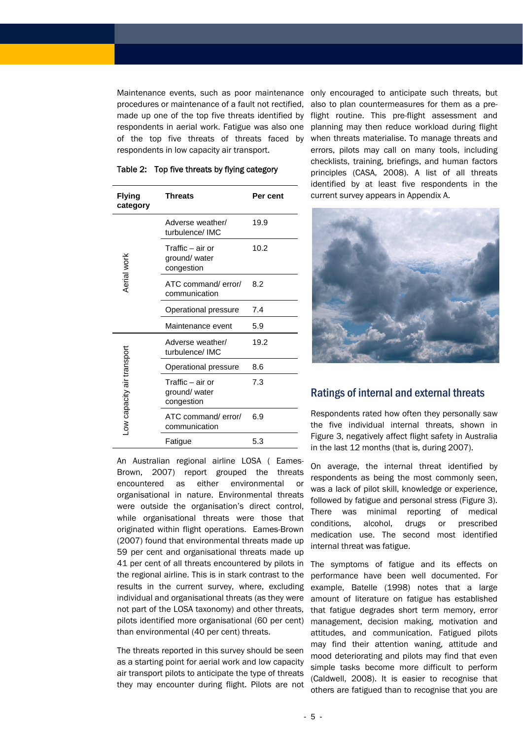Maintenance events, such as poor maintenance procedures or maintenance of a fault not rectified, made up one of the top five threats identified by respondents in aerial work. Fatigue was also one of the top five threats of threats faced by respondents in low capacity air transport.

<span id="page-4-0"></span>

| Flying<br>category        | <b>Threats</b>                                  | Per cent |
|---------------------------|-------------------------------------------------|----------|
| Aerial work               | Adverse weather/<br>turbulence/IMC              | 19.9     |
|                           | Traffic – air or<br>ground/ water<br>congestion | 10.2     |
|                           | ATC command/error/<br>communication             | 8.2      |
|                           | Operational pressure                            | 7.4      |
|                           | Maintenance event                               | 5.9      |
| ow capacity air transport | Adverse weather/<br>turbulence/IMC              | 19.2     |
|                           | Operational pressure                            | 8.6      |
|                           | Traffic – air or<br>ground/ water<br>congestion | 7.3      |
|                           | ATC command/error/<br>communication             | 6.9      |
|                           | Fatigue                                         | 5.3      |

#### Table 2: Top five threats by flying category

An Australian regional airline LOSA ( Eames-Brown, 2007) report grouped the threats encountered as either environmental or organisational in nature. Environmental threats were outside the organisation's direct control, while organisational threats were those that originated within flight operations. Eames-Brown (2007) found that environmental threats made up 59 per cent and organisational threats made up 41 per cent of all threats encountered by pilots in the regional airline. This is in stark contrast to the results in the current survey, where, excluding individual and organisational threats (as they were not part of the LOSA taxonomy) and other threats, pilots identified more organisational (60 per cent) than environmental (40 per cent) threats.

The threats reported in this survey should be seen as a starting point for aerial work and low capacity air transport pilots to anticipate the type of threats they may encounter during flight. Pilots are not

only encouraged to anticipate such threats, but also to plan countermeasures for them as a preflight routine. This pre-flight assessment and planning may then reduce workload during flight when threats materialise. To manage threats and errors, pilots may call on many tools, including checklists, training, briefings, and human factors principles (CASA, 2008). A list of all threats identified by at least five respondents in the current survey appears in Appendix A.



## Ratings of internal and external threats

Respondents rated how often they personally saw the five individual internal threats, shown in [Figure 3,](#page-5-0) negatively affect flight safety in Australia in the last 12 months (that is, during 2007).

On average, the internal threat identified by respondents as being the most commonly seen, was a lack of pilot skill, knowledge or experience, followed by fatigue and personal stress [\(Figure 3](#page-5-0)). There was minimal reporting of medical conditions, alcohol, drugs or prescribed medication use. The second most identified internal threat was fatigue.

The symptoms of fatigue and its effects on performance have been well documented. For example, Batelle (1998) notes that a large amount of literature on fatigue has established that fatigue degrades short term memory, error management, decision making, motivation and attitudes, and communication. Fatigued pilots may find their attention waning, attitude and mood deteriorating and pilots may find that even simple tasks become more difficult to perform (Caldwell, 2008). It is easier to recognise that others are fatigued than to recognise that you are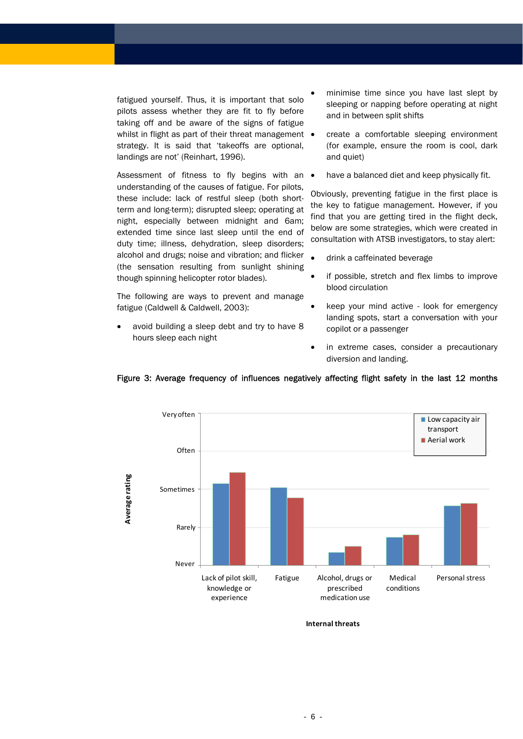fatigued yourself. Thus, it is important that solo pilots assess whether they are fit to fly before taking off and be aware of the signs of fatigue whilst in flight as part of their threat management • strategy. It is said that 'takeoffs are optional, landings are not' (Reinhart, 1996).

Assessment of fitness to fly begins with an  $\bullet$ understanding of the causes of fatigue. For pilots, these include: lack of restful sleep (both shortterm and long-term); disrupted sleep; operating at night, especially between midnight and 6am; extended time since last sleep until the end of duty time; illness, dehydration, sleep disorders; alcohol and drugs; noise and vibration; and flicker (the sensation resulting from sunlight shining though spinning helicopter rotor blades).

The following are ways to prevent and manage fatigue (Caldwell & Caldwell, 2003):

avoid building a sleep debt and try to have 8 hours sleep each night

- minimise time since you have last slept by sleeping or napping before operating at night and in between split shifts
- create a comfortable sleeping environment (for example, ensure the room is cool, dark and quiet)
- have a balanced diet and keep physically fit.

Obviously, preventing fatigue in the first place is the key to fatigue management. However, if you find that you are getting tired in the flight deck, below are some strategies, which were created in consultation with ATSB investigators, to stay alert:

- drink a caffeinated beverage
- if possible, stretch and flex limbs to improve blood circulation
- keep your mind active look for emergency landing spots, start a conversation with your copilot or a passenger
- in extreme cases, consider a precautionary diversion and landing.



#### <span id="page-5-0"></span>Figure 3: Average frequency of influences negatively affecting flight safety in the last 12 months

**Internal threats**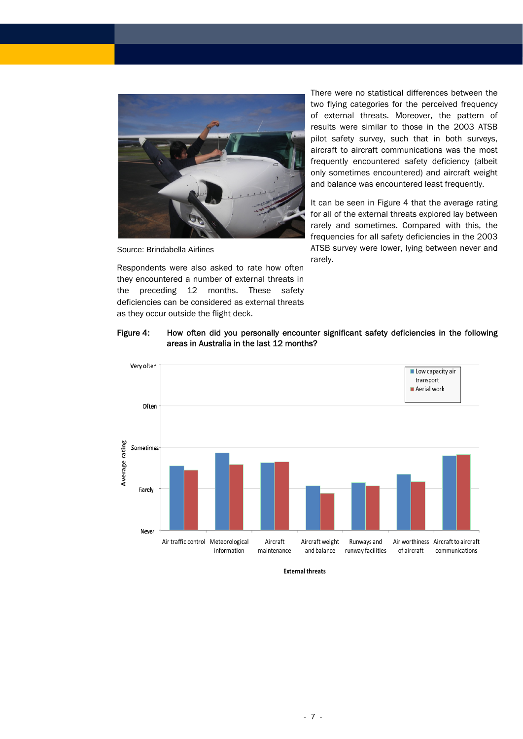

Source: Brindabella Airlines

Respondents were also asked to rate how often they encountered a number of external threats in the preceding 12 months. These safety deficiencies can be considered as external threats as they occur outside the flight deck.

There were no statistical differences between the two flying categories for the perceived frequency of external threats. Moreover, the pattern of results were similar to those in the 2003 ATSB pilot safety survey, such that in both surveys, aircraft to aircraft communications was the most frequently encountered safety deficiency (albeit only sometimes encountered) and aircraft weight and balance was encountered least frequently.

It can be seen in [Figure 4](#page-6-0) that the average rating for all of the external threats explored lay between rarely and sometimes. Compared with this, the frequencies for all safety deficiencies in the 2003 ATSB survey were lower, lying between never and rarely.

### Figure 4: How often did you personally encounter significant safety deficiencies in the following areas in Australia in the last 12 months?

<span id="page-6-0"></span>

**External threats**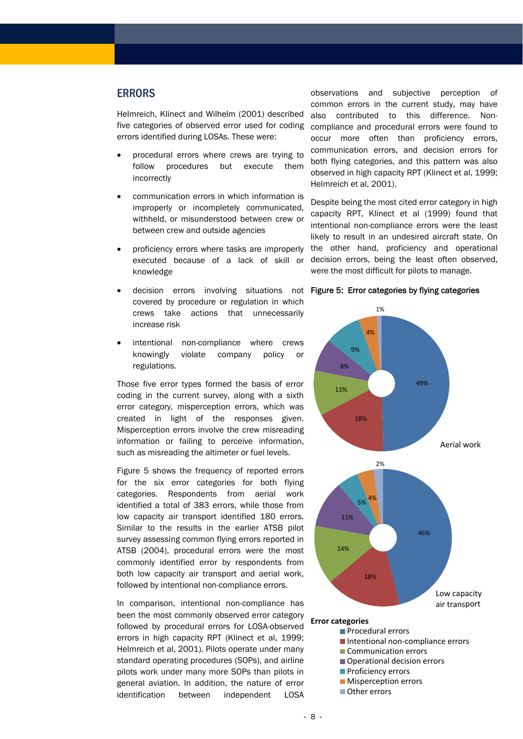## ERRORS

Helmreich, Klinect and Wilhelm (2001) described five categories of observed error used for coding errors identified during LOSAs. These were:

- procedural errors where crews are trying to follow procedures but execute them incorrectly
- communication errors in which information is improperly or incompletely communicated, withheld, or misunderstood between crew or between crew and outside agencies
- proficiency errors where tasks are improperly executed because of a lack of skill or knowledge
- covered by procedure or regulation in which crews take actions that unnecessarily increase risk
- intentional non-compliance where crews knowingly violate company policy or regulations.

Those five error types formed the basis of error coding in the current survey, along with a sixth error category, misperception errors, which was created in light of the responses given. Misperception errors involve the crew misreading information or failing to perceive information, such as misreading the altimeter or fuel levels.

Figure 5 shows the frequency of reported errors for the six error categories for both flying categories. Respondents from aerial work identified a total of 383 errors, while those from low capacity air transport identified 180 errors. Similar to the results in the earlier ATSB pilot survey assessing common flying errors reported in ATSB (2004), procedural errors were the most commonly identified error by respondents from both low capacity air transport and aerial work, followed by intentional non-compliance errors.

In comparison, intentional non-compliance has been the most commonly observed error category followed by procedural errors for LOSA-observed errors in high capacity RPT (Klinect et al, 1999; Helmreich et al, 2001). Pilots operate under many standard operating procedures (SOPs), and airline pilots work under many more SOPs than pilots in general aviation. In addition, the nature of error identification between independent LOSA

observations and subjective perception of common errors in the current study, may have also contributed to this difference. Noncompliance and procedural errors were found to occur more often than proficiency errors, communication errors, and decision errors for both flying categories, and this pattern was also observed in high capacity RPT (Klinect et al, 1999; Helmreich et al, 2001).

Despite being the most cited error category in high capacity RPT, Klinect et al (1999) found that intentional non-compliance errors were the least likely to result in an undesired aircraft state. On the other hand, proficiency and operational decision errors, being the least often observed, were the most difficult for pilots to manage.

#### • decision errors involving situations not Figure 5: Error categories by flying categories



- Operational decision errors
- **Proficiency errors**
- **Misperception errors**
- Other errors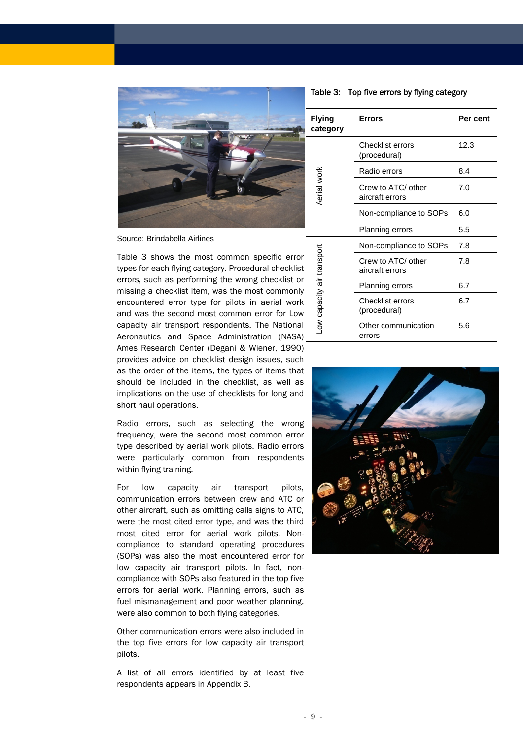<span id="page-8-0"></span>

Source: Brindabella Airlines

[Table 3](#page-8-0) shows the most common specific error types for each flying category. Procedural checklist errors, such as performing the wrong checklist or missing a checklist item, was the most commonly encountered error type for pilots in aerial work and was the second most common error for Low capacity air transport respondents. The National Aeronautics and Space Administration (NASA) Ames Research Center (Degani & Wiener, 1990) provides advice on checklist design issues, such as the order of the items, the types of items that should be included in the checklist, as well as implications on the use of checklists for long and short haul operations.

Radio errors, such as selecting the wrong frequency, were the second most common error type described by aerial work pilots. Radio errors were particularly common from respondents within flying training.

For low capacity air transport pilots, communication errors between crew and ATC or other aircraft, such as omitting calls signs to ATC, were the most cited error type, and was the third most cited error for aerial work pilots. Noncompliance to standard operating procedures (SOPs) was also the most encountered error for low capacity air transport pilots. In fact, noncompliance with SOPs also featured in the top five errors for aerial work. Planning errors, such as fuel mismanagement and poor weather planning, were also common to both flying categories.

Other communication errors were also included in the top five errors for low capacity air transport pilots.

A list of all errors identified by at least five respondents appears in Appendix B.

Table 3: Top five errors by flying category

| lying<br>ategory:         | <b>Errors</b>                         | Per cent |
|---------------------------|---------------------------------------|----------|
| Aerial work               | Checklist errors<br>(procedural)      | 12.3     |
|                           | Radio errors                          | 8.4      |
|                           | Crew to ATC/ other<br>aircraft errors | 7.0      |
|                           | Non-compliance to SOPs                | 6.0      |
|                           | <b>Planning errors</b>                | 5.5      |
| ow capacity air transport | Non-compliance to SOPs                | 7.8      |
|                           | Crew to ATC/ other<br>aircraft errors | 7.8      |
|                           | <b>Planning errors</b>                | 6.7      |
|                           | Checklist errors<br>(procedural)      | 6.7      |
|                           | Other communication<br>errors         | 5.6      |

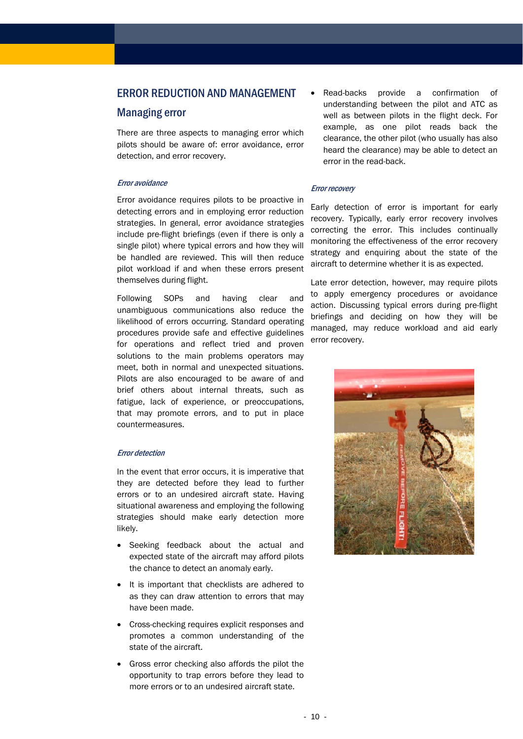## ERROR REDUCTION AND MANAGEMENT

## Managing error

There are three aspects to managing error which pilots should be aware of: error avoidance, error detection, and error recovery.

#### Error avoidance

Error avoidance requires pilots to be proactive in detecting errors and in employing error reduction strategies. In general, error avoidance strategies include pre-flight briefings (even if there is only a single pilot) where typical errors and how they will be handled are reviewed. This will then reduce pilot workload if and when these errors present themselves during flight.

Following SOPs and having clear and unambiguous communications also reduce the likelihood of errors occurring. Standard operating procedures provide safe and effective guidelines for operations and reflect tried and proven solutions to the main problems operators may meet, both in normal and unexpected situations. Pilots are also encouraged to be aware of and brief others about internal threats, such as fatigue, lack of experience, or preoccupations, that may promote errors, and to put in place countermeasures.

#### Error detection

In the event that error occurs, it is imperative that they are detected before they lead to further errors or to an undesired aircraft state. Having situational awareness and employing the following strategies should make early detection more likely.

- Seeking feedback about the actual and expected state of the aircraft may afford pilots the chance to detect an anomaly early.
- It is important that checklists are adhered to as they can draw attention to errors that may have been made.
- Cross-checking requires explicit responses and promotes a common understanding of the state of the aircraft.
- Gross error checking also affords the pilot the opportunity to trap errors before they lead to more errors or to an undesired aircraft state.

• Read-backs provide a confirmation of understanding between the pilot and ATC as well as between pilots in the flight deck. For example, as one pilot reads back the clearance, the other pilot (who usually has also heard the clearance) may be able to detect an error in the read-back.

#### Error recovery

Early detection of error is important for early recovery. Typically, early error recovery involves correcting the error. This includes continually monitoring the effectiveness of the error recovery strategy and enquiring about the state of the aircraft to determine whether it is as expected.

Late error detection, however, may require pilots to apply emergency procedures or avoidance action. Discussing typical errors during pre-flight briefings and deciding on how they will be managed, may reduce workload and aid early error recovery.

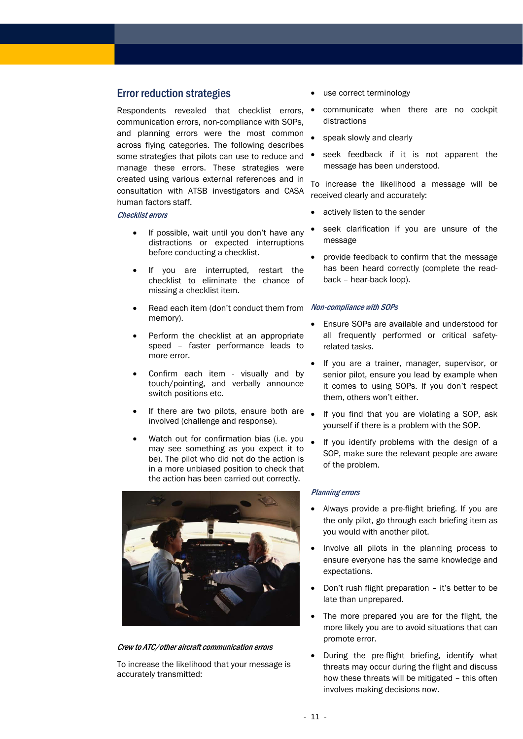## Error reduction strategies

Respondents revealed that checklist errors, communication errors, non-compliance with SOPs, and planning errors were the most common across flying categories. The following describes some strategies that pilots can use to reduce and  $\bullet$ manage these errors. These strategies were created using various external references and in consultation with ATSB investigators and CASA human factors staff.

#### Checklist errors

- If possible, wait until you don't have any distractions or expected interruptions before conducting a checklist.
- If you are interrupted, restart the checklist to eliminate the chance of missing a checklist item.
- Read each item (don't conduct them from memory).
- Perform the checklist at an appropriate speed – faster performance leads to more error.
- Confirm each item visually and by touch/pointing, and verbally announce switch positions etc.
- If there are two pilots, ensure both are  $\Box$ involved (challenge and response).
- Watch out for confirmation bias (i.e. you may see something as you expect it to be). The pilot who did not do the action is in a more unbiased position to check that the action has been carried out correctly.



#### Crew to ATC/other aircraft communication errors

To increase the likelihood that your message is accurately transmitted:

- use correct terminology
- communicate when there are no cockpit distractions
- speak slowly and clearly
- seek feedback if it is not apparent the message has been understood.

To increase the likelihood a message will be received clearly and accurately:

- actively listen to the sender
- seek clarification if you are unsure of the message
- provide feedback to confirm that the message has been heard correctly (complete the readback – hear-back loop).

#### Non-compliance with SOPs

- Ensure SOPs are available and understood for all frequently performed or critical safetyrelated tasks.
- If you are a trainer, manager, supervisor, or senior pilot, ensure you lead by example when it comes to using SOPs. If you don't respect them, others won't either.
- If you find that you are violating a SOP, ask yourself if there is a problem with the SOP.
- If you identify problems with the design of a SOP, make sure the relevant people are aware of the problem.

#### Planning errors

- Always provide a pre-flight briefing. If you are the only pilot, go through each briefing item as you would with another pilot.
- Involve all pilots in the planning process to ensure everyone has the same knowledge and expectations.
- Don't rush flight preparation it's better to be late than unprepared.
- The more prepared you are for the flight, the more likely you are to avoid situations that can promote error.
- During the pre-flight briefing, identify what threats may occur during the flight and discuss how these threats will be mitigated – this often involves making decisions now.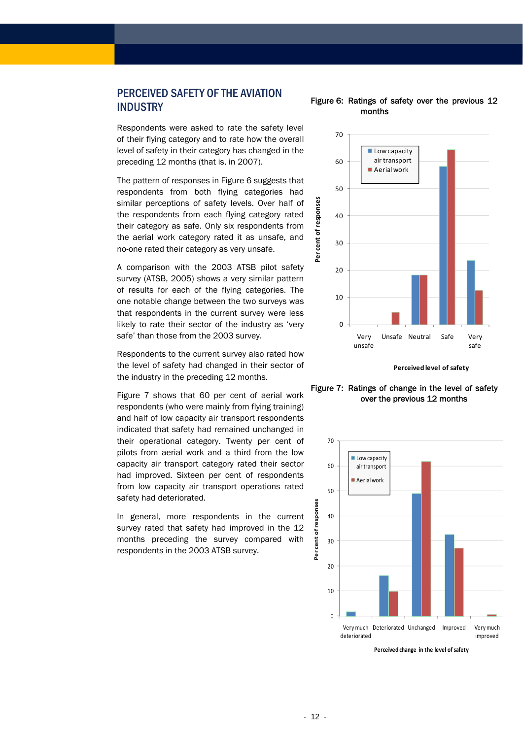# <span id="page-11-0"></span>PERCEIVED SAFETY OF THE AVIATION **INDUSTRY**

Respondents were asked to rate the safety level of their flying category and to rate how the overall level of safety in their category has changed in the preceding 12 months (that is, in 2007).

The pattern of responses in [Figure 6](#page-11-0) suggests that respondents from both flying categories had similar perceptions of safety levels. Over half of the respondents from each flying category rated their category as safe. Only six respondents from the aerial work category rated it as unsafe, and no-one rated their category as very unsafe.

A comparison with the 2003 ATSB pilot safety survey (ATSB, 2005) shows a very similar pattern of results for each of the flying categories. The one notable change between the two surveys was that respondents in the current survey were less likely to rate their sector of the industry as 'very safe' than those from the 2003 survey.

Respondents to the current survey also rated how the level of safety had changed in their sector of the industry in the preceding 12 months.

<span id="page-11-1"></span>[Figure 7](#page-11-1) shows that 60 per cent of aerial work respondents (who were mainly from flying training) and half of low capacity air transport respondents indicated that safety had remained unchanged in their operational category. Twenty per cent of pilots from aerial work and a third from the low capacity air transport category rated their sector had improved. Sixteen per cent of respondents from low capacity air transport operations rated safety had deteriorated.

In general, more respondents in the current survey rated that safety had improved in the 12 months preceding the survey compared with respondents in the 2003 ATSB survey.

#### Figure 6: Ratings of safety over the previous 12 months







**Perceived change in the level of safety**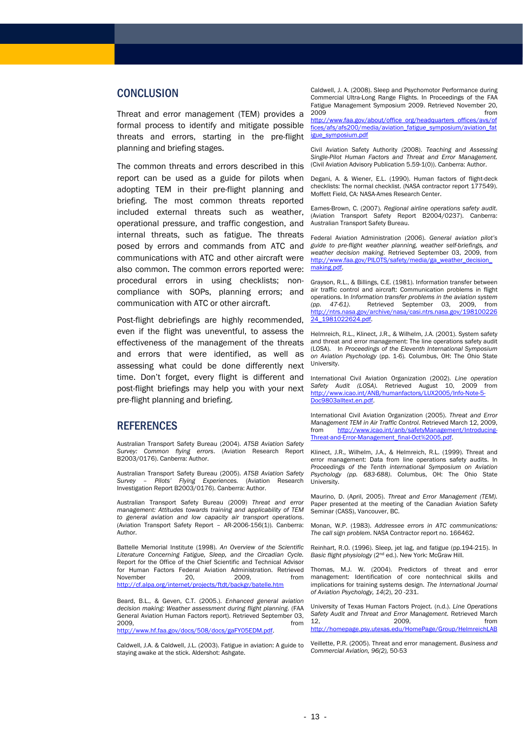## **CONCLUSION**

Threat and error management (TEM) provides a formal process to identify and mitigate possible threats and errors, starting in the pre-flight planning and briefing stages.

The common threats and errors described in this report can be used as a guide for pilots when adopting TEM in their pre-flight planning and briefing. The most common threats reported included external threats such as weather, operational pressure, and traffic congestion, and internal threats, such as fatigue. The threats posed by errors and commands from ATC and communications with ATC and other aircraft were also common. The common errors reported were: procedural errors in using checklists; noncompliance with SOPs, planning errors; and communication with ATC or other aircraft.

Post-flight debriefings are highly recommended, even if the flight was uneventful, to assess the effectiveness of the management of the threats and errors that were identified, as well as assessing what could be done differently next time. Don't forget, every flight is different and post-flight briefings may help you with your next pre-flight planning and briefing.

## **REFERENCES**

Australian Transport Safety Bureau (2004). *ATSB Aviation Safety Survey: Common flying errors*. (Aviation Research Report B2003/0176). Canberra: Author.

Australian Transport Safety Bureau (2005). *ATSB Aviation Safety Survey – Pilots' Flying Experiences.* (Aviation Research Investigation Report B2003/0176). Canberra: Author.

Australian Transport Safety Bureau (2009) *Threat and error management: Attitudes towards training and applicability of TEM to general aviation and low capacity air transport operations*. (Aviation Transport Safety Report – AR-2006-156(1)). Canberra: Author.

Battelle Memorial Institute (1998). *An Overview of the Scientific Literature Concerning Fatigue, Sleep, and the Circadian Cycle.*  Report for the Office of the Chief Scientific and Technical Advisor for Human Factors Federal Aviation Administration. Retrieved November 20, 2009, from <http://cf.alpa.org/internet/projects/ftdt/backgr/batelle.htm>

Beard, B.L., & Geven, C.T. (2005.). *Enhanced general aviation decision making: Weather assessment during flight planning*. (FAA General Aviation Human Factors report). Retrieved September 03, 2009, from [http://www.hf.faa.gov/docs/508/docs/gaFY05EDM.pdf.](http://www.hf.faa.gov/docs/508/docs/gaFY05EDM.pdf)

Caldwell, J.A. & Caldwell, J.L. (2003). Fatigue in aviation: A guide to staying awake at the stick. Aldershot: Ashgate.

Caldwell, J. A. (2008). Sleep and Psychomotor Performance during Commercial Ultra-Long Range Flights. In Proceedings of the FAA Fatigue Management Symposium 2009. Retrieved November 20, 2009 from

[http://www.faa.gov/about/office\\_org/headquarters\\_offices/avs/of](http://www.faa.gov/about/office_org/headquarters_offices/avs/offices/afs/afs200/media/aviation_fatigue_symposium/aviation_fatigue_symposium.pdf) [fices/afs/afs200/media/aviation\\_fatigue\\_symposium/aviation\\_fat](http://www.faa.gov/about/office_org/headquarters_offices/avs/offices/afs/afs200/media/aviation_fatigue_symposium/aviation_fatigue_symposium.pdf) [igue\\_symposium.pdf](http://www.faa.gov/about/office_org/headquarters_offices/avs/offices/afs/afs200/media/aviation_fatigue_symposium/aviation_fatigue_symposium.pdf)

Civil Aviation Safety Authority (2008). *Teaching and Assessing Single-Pilot Human Factors and Threat and Error Management.* (Civil Aviation Advisory Publication 5.59-1(0)). Canberra: Author.

Degani, A. & Wiener, E.L. (1990). Human factors of flight-deck checklists: The normal checklist. (NASA contractor report 177549). Moffett Field, CA: NASA-Ames Research Center.

Eames-Brown, C. (2007). *Regional airline operations safety audit*. (Aviation Transport Safety Report B2004/0237). Canberra: Australian Transport Safety Bureau.

Federal Aviation Administration (2006). *General aviation pilot's guide to pre-flight weather planning, weather self-briefings, and weather decision making*. Retrieved September 03, 2009, from [http://www.faa.gov/PILOTS/safety/media/ga\\_weather\\_decision\\_](http://www.faa.gov/PILOTS/safety/media/ga_weather_decision_making.pdf) [making.pdf](http://www.faa.gov/PILOTS/safety/media/ga_weather_decision_making.pdf).

Grayson, R.L., & Billings, C.E. (1981). Information transfer between air traffic control and aircraft: Communication problems in flight operations. In *Information transfer problems in the aviation system (pp. 47-61)*. Retrieved September 03, 2009, from [http://ntrs.nasa.gov/archive/nasa/casi.ntrs.nasa.gov/198100226](http://ntrs.nasa.gov/archive/nasa/casi.ntrs.nasa.gov/19810022624_1981022624.pdf) [24\\_1981022624.pdf](http://ntrs.nasa.gov/archive/nasa/casi.ntrs.nasa.gov/19810022624_1981022624.pdf).

Helmreich, R.L., Klinect, J.R., & Wilhelm, J.A. (2001). System safety and threat and error management: The line operations safety audit (LOSA). In *Proceedings of the Eleventh International Symposium on Aviation Psychology* (pp. 1-6)*.* Columbus, OH: The Ohio State University.

International Civil Aviation Organization (2002). *Line operation Safety Audit (LOSA).* Retrieved August 10, 2009 from [http://www.icao.int/ANB/humanfactors/LUX2005/Info-Note-5-](http://www.icao.int/ANB/humanfactors/LUX2005/Info-Note-5-Doc9803alltext.en.pdf) [Doc9803alltext.en.pdf.](http://www.icao.int/ANB/humanfactors/LUX2005/Info-Note-5-Doc9803alltext.en.pdf)

International Civil Aviation Organization (2005). *Threat and Error Management TEM in Air Traffic Control.* Retrieved March 12, 2009, from [http://www.icao.int/anb/safetyManagement/Introducing-](mailto:atsbinfo@atsb.gov.au)[Threat-and-Error-Management\\_final-Oct%2005.pdf](mailto:atsbinfo@atsb.gov.au).

Klinect, J.R., Wilhelm, J.A., & Helmreich, R.L. (1999). Threat and error management: Data from line operations safety audits. In *Proceedings of the Tenth international Symposium on Aviation Psychology (pp. 683-688)*. Columbus, OH: The Ohio State University.

Maurino, D. (April, 2005). *Threat and Error Management (TEM).* Paper presented at the meeting of the Canadian Aviation Safety Seminar (CASS), Vancouver, BC.

Monan, W.P. (1983). *Addressee errors in ATC communications: The call sign problem*. NASA Contractor report no. 166462.

Reinhart, R.O. (1996). Sleep, jet lag, and fatigue (pp.194-215). In *Basic flight physiology* (2nd ed.). New York: McGraw Hill.

Thomas, M.J. W. (2004). Predictors of threat and error management: Identification of core nontechnical skills and implications for training systems design. *The International Journal of Aviation Psychology, 14*(2), 20 -231.

University of Texas Human Factors Project. (n.d.). *Line Operations Safety Audit and Threat and Error Management.* Retrieved March 12, 2009, from <http://homepage.psy.utexas.edu/HomePage/Group/HelmreichLAB>

Veillette, P.R. (2005). Threat and error management. *Business and Commercial Aviation, 96(2),* 50-53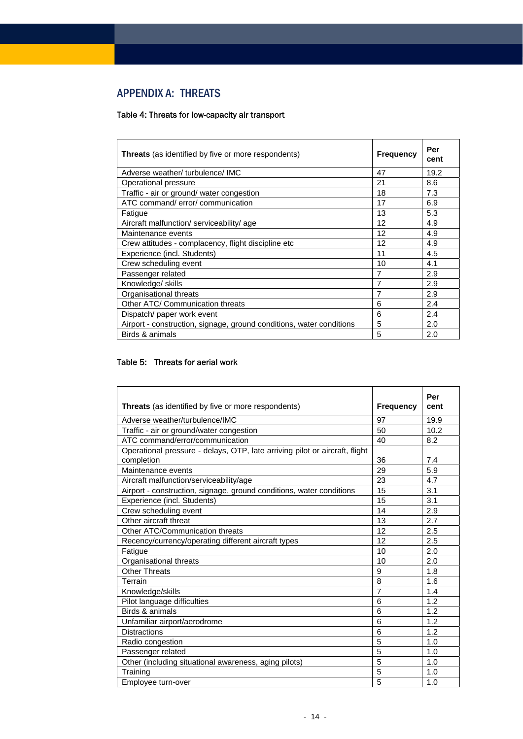# APPENDIX A: THREATS

## Table 4: Threats for low-capacity air transport

| <b>Threats</b> (as identified by five or more respondents)           | <b>Frequency</b> | Per<br>cent |
|----------------------------------------------------------------------|------------------|-------------|
| Adverse weather/ turbulence/ IMC                                     | 47               | 19.2        |
| Operational pressure                                                 | 21               | 8.6         |
| Traffic - air or ground/ water congestion                            | 18               | 7.3         |
| ATC command/error/communication                                      | 17               | 6.9         |
| Fatique                                                              | 13               | 5.3         |
| Aircraft malfunction/ serviceability/ age                            | 12               | 4.9         |
| Maintenance events                                                   | 12               | 4.9         |
| Crew attitudes - complacency, flight discipline etc                  | 12               | 4.9         |
| Experience (incl. Students)                                          | 11               | 4.5         |
| Crew scheduling event                                                | 10               | 4.1         |
| Passenger related                                                    | 7                | 2.9         |
| Knowledge/ skills                                                    | 7                | 2.9         |
| Organisational threats                                               | 7                | 2.9         |
| Other ATC/ Communication threats                                     | 6                | 2.4         |
| Dispatch/ paper work event                                           | 6                | 2.4         |
| Airport - construction, signage, ground conditions, water conditions | 5                | 2.0         |
| Birds & animals                                                      | 5                | 2.0         |

## Table 5: Threats for aerial work

 $\mathbf{r}$ 

| <b>Threats</b> (as identified by five or more respondents)                  | <b>Frequency</b> | Per<br>cent |
|-----------------------------------------------------------------------------|------------------|-------------|
| Adverse weather/turbulence/IMC                                              | 97               | 19.9        |
| Traffic - air or ground/water congestion                                    | 50               | 10.2        |
| ATC command/error/communication                                             | 40               | 8.2         |
| Operational pressure - delays, OTP, late arriving pilot or aircraft, flight |                  |             |
| completion                                                                  | 36               | 7.4         |
| Maintenance events                                                          | 29               | 5.9         |
| Aircraft malfunction/serviceability/age                                     | 23               | 4.7         |
| Airport - construction, signage, ground conditions, water conditions        | 15               | 3.1         |
| Experience (incl. Students)                                                 | 15               | 3.1         |
| Crew scheduling event                                                       | 14               | 2.9         |
| Other aircraft threat                                                       | 13               | 2.7         |
| Other ATC/Communication threats                                             | 12               | 2.5         |
| Recency/currency/operating different aircraft types                         | 12               | 2.5         |
| Fatigue                                                                     | 10               | 2.0         |
| Organisational threats                                                      | 10               | 2.0         |
| <b>Other Threats</b>                                                        | 9                | 1.8         |
| Terrain                                                                     | 8                | 1.6         |
| Knowledge/skills                                                            | $\overline{7}$   | 1.4         |
| Pilot language difficulties                                                 | 6                | 1.2         |
| Birds & animals                                                             | 6                | 1.2         |
| Unfamiliar airport/aerodrome                                                | 6                | 1.2         |
| <b>Distractions</b>                                                         | 6                | 1.2         |
| Radio congestion                                                            | 5                | 1.0         |
| Passenger related                                                           | 5                | 1.0         |
| Other (including situational awareness, aging pilots)                       | 5                | 1.0         |
| Training                                                                    | 5                | 1.0         |
| Employee turn-over                                                          | 5                | 1.0         |